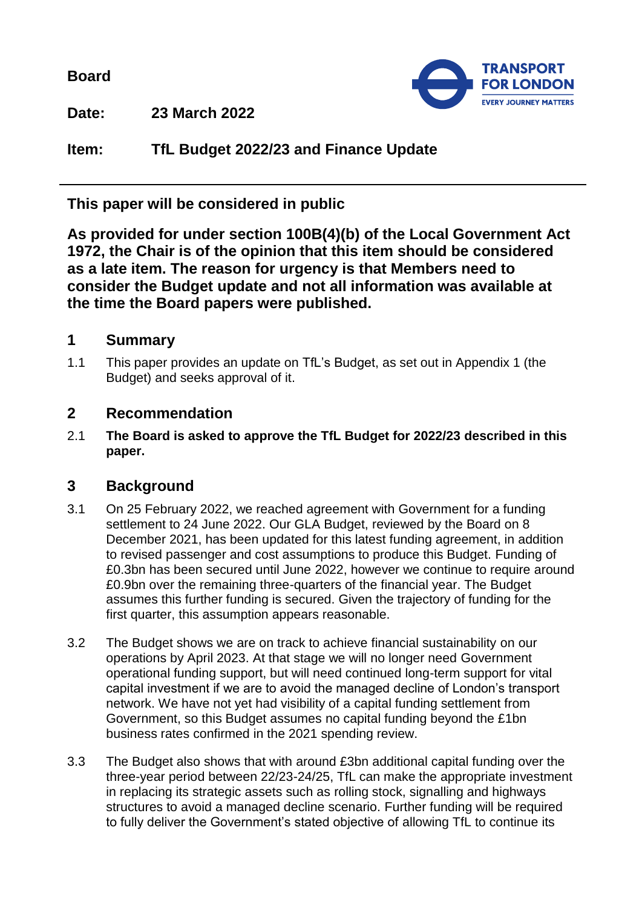**Board**



**Date: 23 March 2022**

**Item: TfL Budget 2022/23 and Finance Update**

**This paper will be considered in public**

**As provided for under section 100B(4)(b) of the Local Government Act 1972, the Chair is of the opinion that this item should be considered as a late item. The reason for urgency is that Members need to consider the Budget update and not all information was available at the time the Board papers were published.**

## **1 Summary**

1.1 This paper provides an update on TfL's Budget, as set out in Appendix 1 (the Budget) and seeks approval of it.

## **2 Recommendation**

2.1 **The Board is asked to approve the TfL Budget for 2022/23 described in this paper.**

# **3 Background**

- 3.1 On 25 February 2022, we reached agreement with Government for a funding settlement to 24 June 2022. Our GLA Budget, reviewed by the Board on 8 December 2021, has been updated for this latest funding agreement, in addition to revised passenger and cost assumptions to produce this Budget. Funding of £0.3bn has been secured until June 2022, however we continue to require around £0.9bn over the remaining three-quarters of the financial year. The Budget assumes this further funding is secured. Given the trajectory of funding for the first quarter, this assumption appears reasonable.
- 3.2 The Budget shows we are on track to achieve financial sustainability on our operations by April 2023. At that stage we will no longer need Government operational funding support, but will need continued long-term support for vital capital investment if we are to avoid the managed decline of London's transport network. We have not yet had visibility of a capital funding settlement from Government, so this Budget assumes no capital funding beyond the £1bn business rates confirmed in the 2021 spending review.
- 3.3 The Budget also shows that with around £3bn additional capital funding over the three-year period between 22/23-24/25, TfL can make the appropriate investment in replacing its strategic assets such as rolling stock, signalling and highways structures to avoid a managed decline scenario. Further funding will be required to fully deliver the Government's stated objective of allowing TfL to continue its